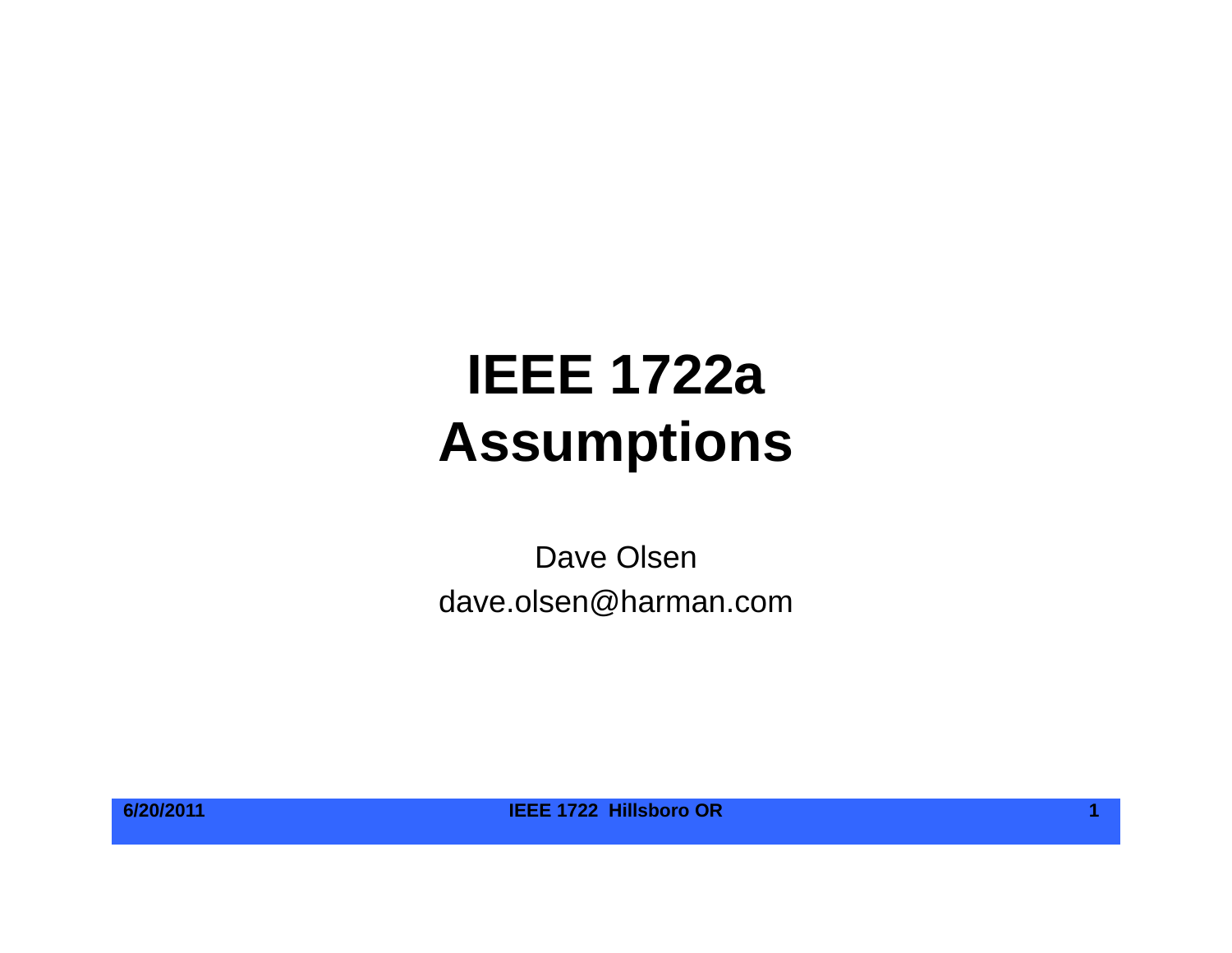# **IEEE 1722aAssumptions**

Dave Olsen dave.olsen@harman.com

**6/20/2011 IEEE 1722 Hillsboro OR 1**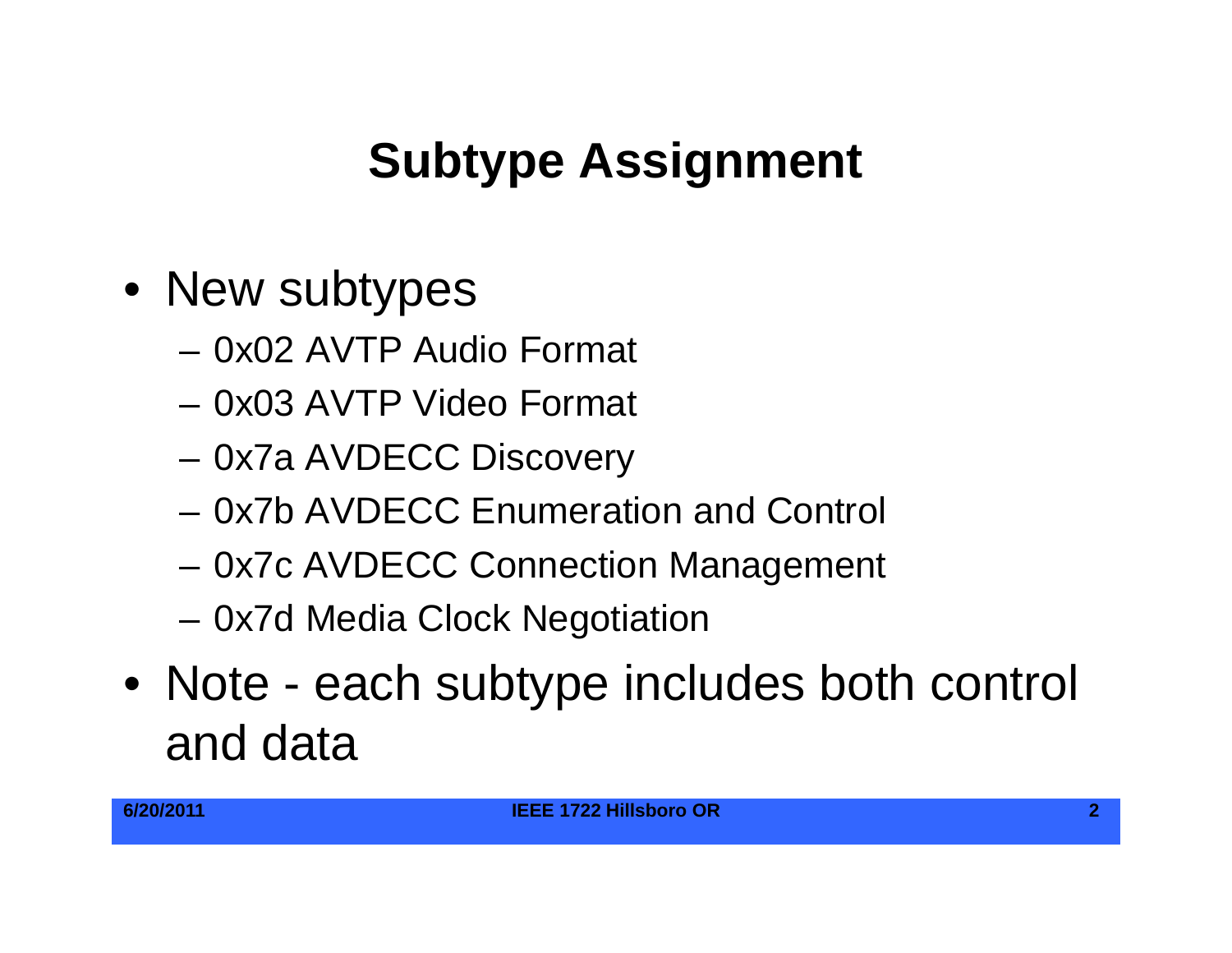## **Subtype Assignment Assignment**

- New subtypes
	- 0x02 AVTP Audio Format
	- 0x03 AVTP Video Format
	- 0x7a AVDECC Discovery
	- 0x7b AVDECC Enumeration and Control
	- 0x7c AVDECC Connection Management
	- –0x7d Media Clock Negotiation
- Note each subtype includes both control and data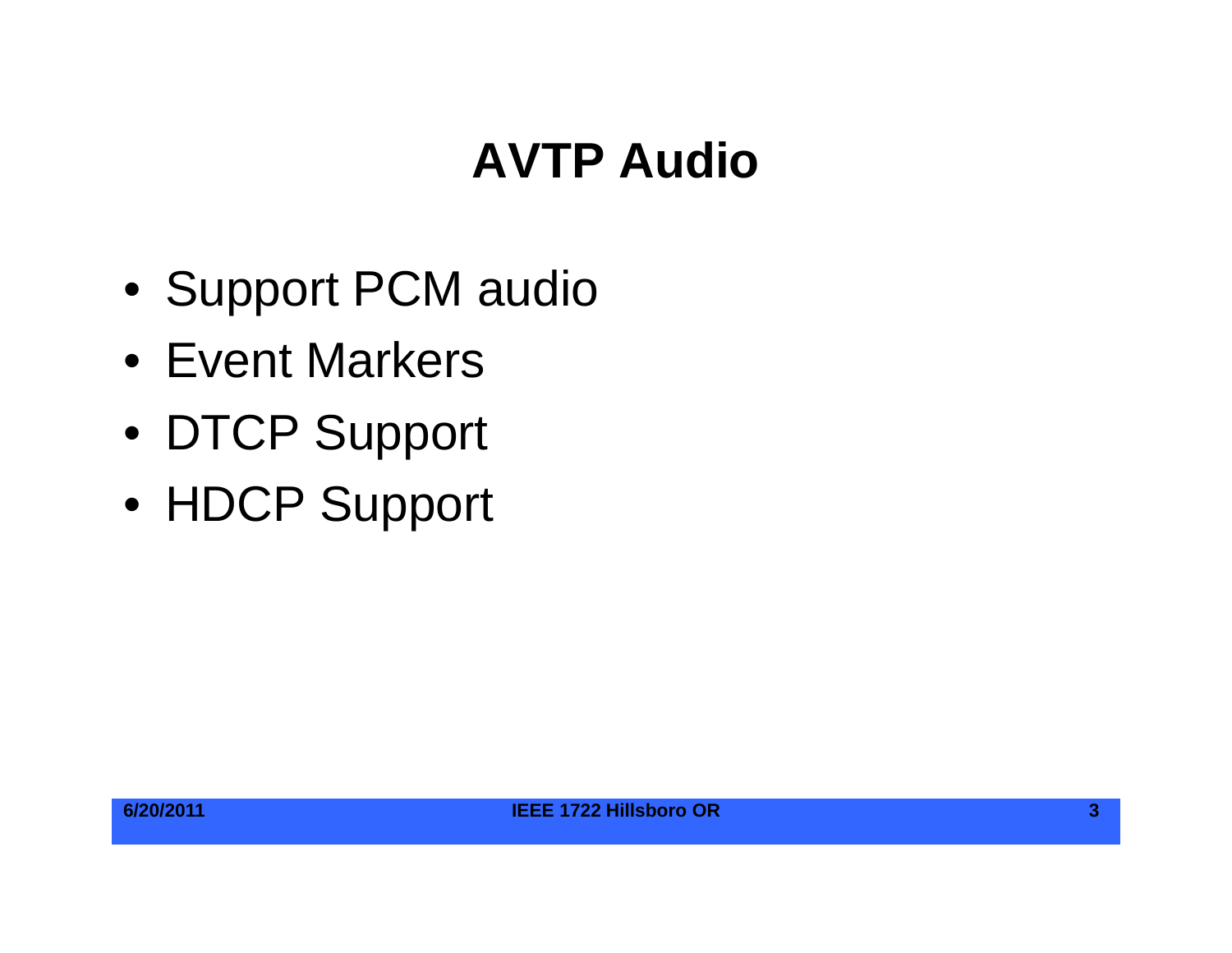## **AVTP Audio**

- Support PCM audio
- Event Markers
- DTCP Support
- HDCP Support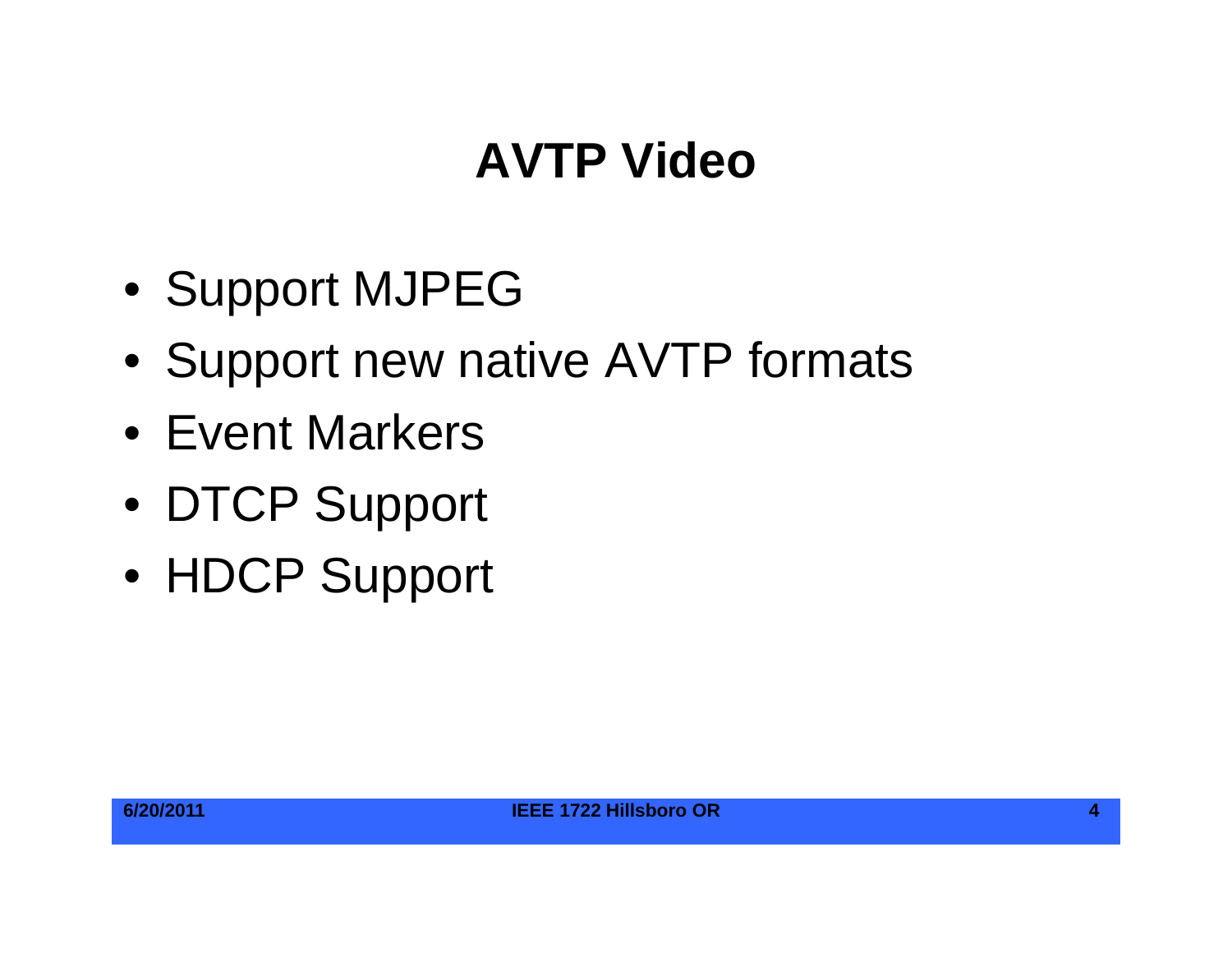#### **AVTP Video**

- Support MJPEG
- Support new native AVTP formats
- Event Markers
- DTCP Support
- HDCP Support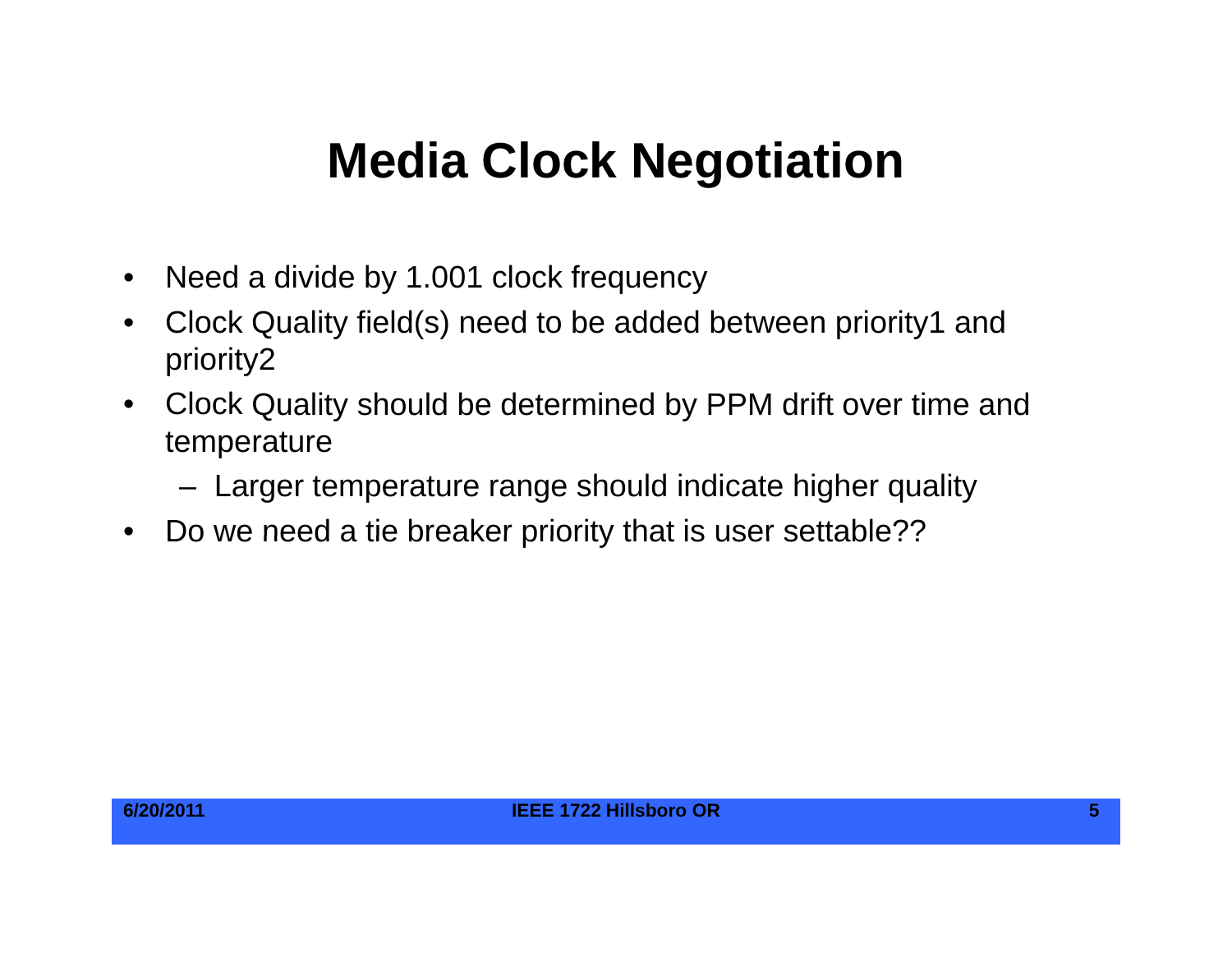#### **Media Clock Negotiation**

- $\bullet$ Need a divide by 1.001 clock frequency
- • Clock Quality field(s) need to be added between priority1 and priority2
- $\bullet$ Clock Quality should be determined by PPM drift over time and temperature
	- Larger temperature range should indicate higher quality
- $\bullet$ Do we need <sup>a</sup> tie breaker priority that is user settable??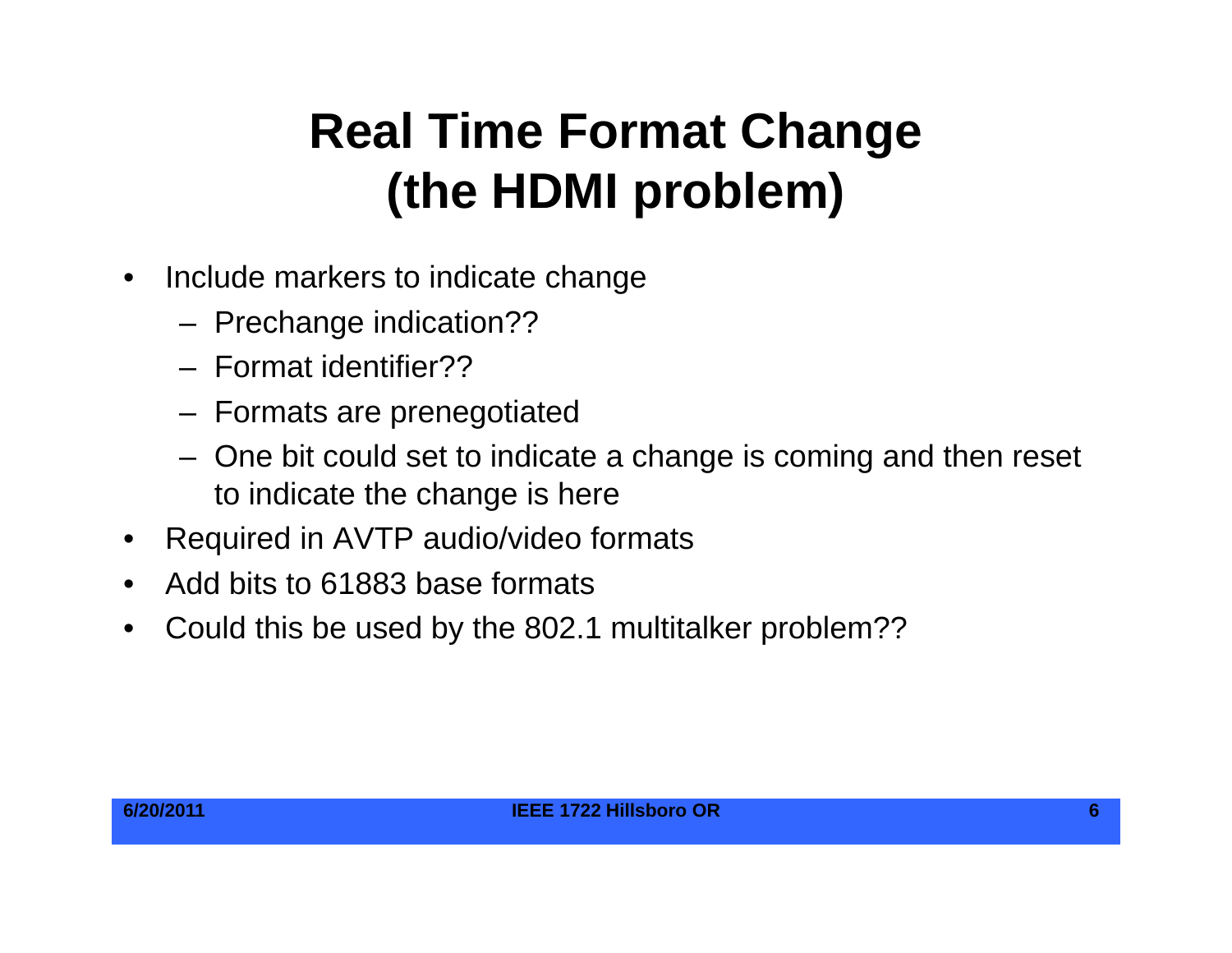# **Real Time Format Change (th HDMI bl ) (the HDMI problem**

- $\bullet$  Include markers to indicate change
	- Prechange indication??
	- Format identifier??
	- Formats are prenegotiated
	- One bit could set to indicate a change is coming and then reset to indicate the change is here
- •Required in AVTP audio/video formats
- $\bullet$ Add bits to 61883 base formats
- •Could this be used by the 802.1 multitalker problem??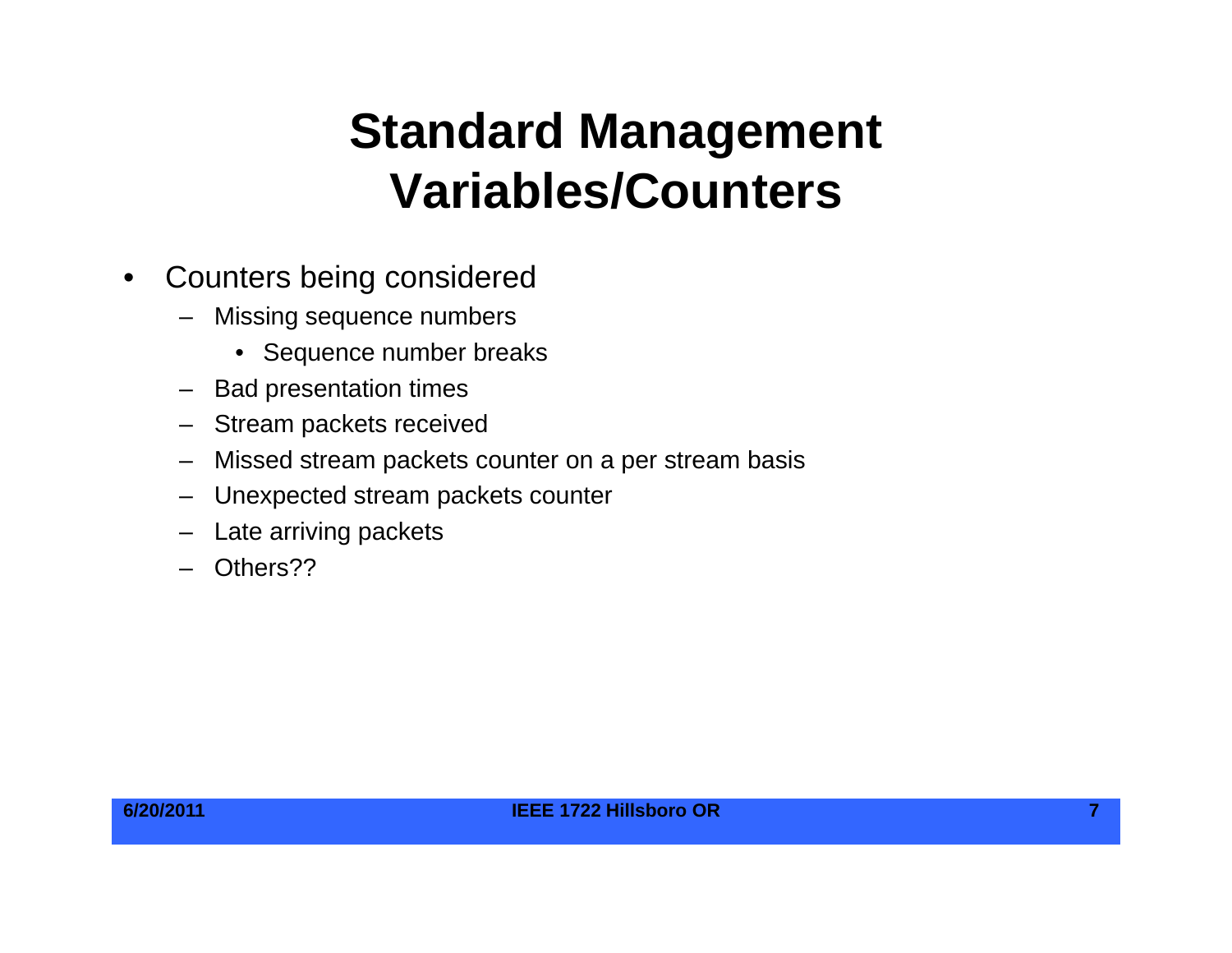#### **Standard Management V i bl /C t Variables/Counters**

- $\bullet$  Counters being considered
	- – Missing sequence numbers
		- Sequence number breaks
	- Bad presentation times
	- Stream packets received
	- Missed stream packets counter on a per stream basis
	- Unexpected stream packets counter
	- Late arriving packets
	- Others??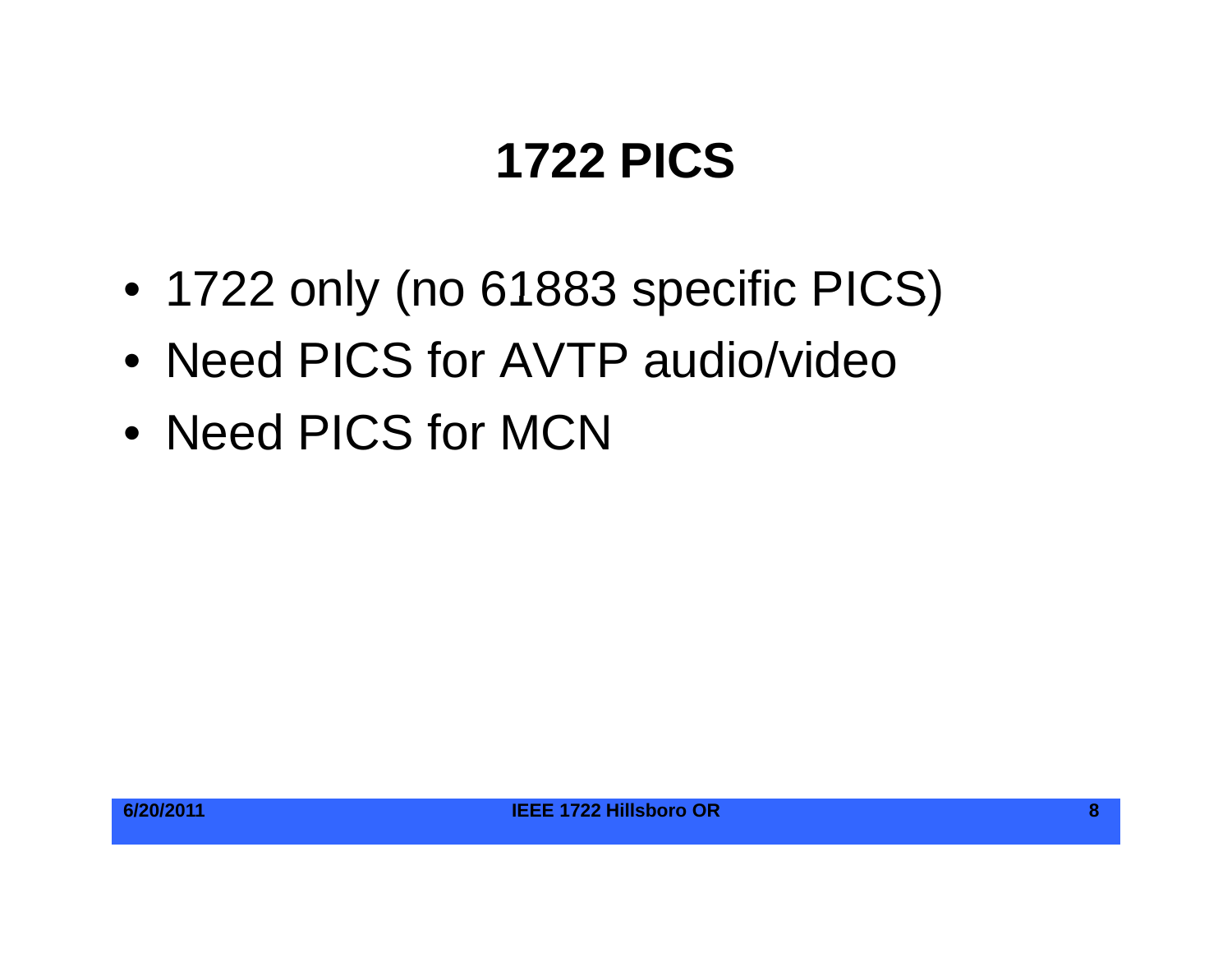## **1722 PICS**

- 1722 only (no 61883 specific PICS)
- Need PICS for AVTP audio/video
- Need PICS for MCN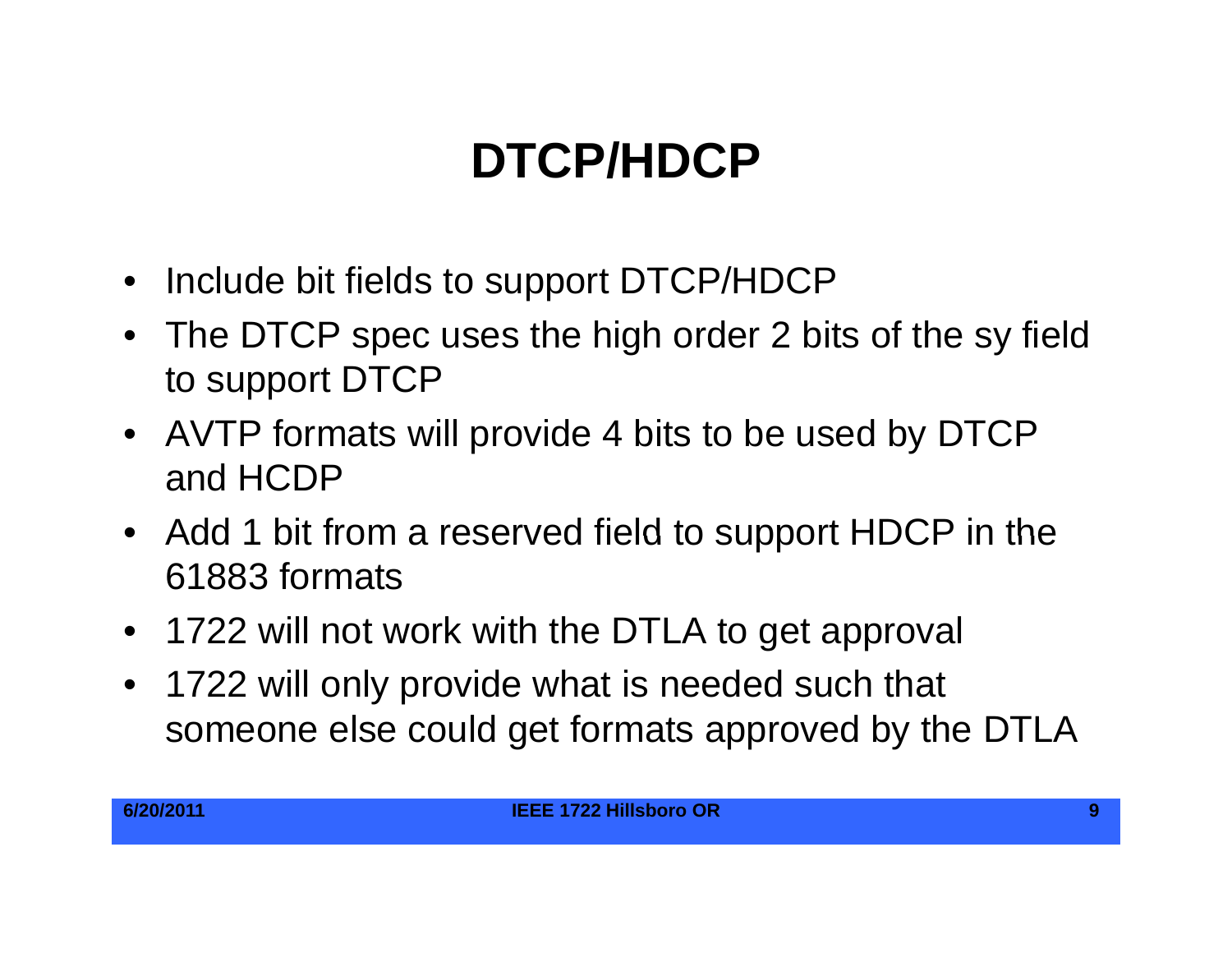# **DTCP/HDCP**

- Include bit fields to support DTCP/HDCP
- The DTCP spec uses the high order 2 bits of the sy field to support DTCP
- AVTP formats will provide 4 bits to be used by DTCP and HCDP
- Add 1 bit from <sup>a</sup> reserved field to support HDCP in the 61883 formats
- 1722 will not work with the DTLA to get approval
- $\bullet$  1722 will only provide what is needed such that someone else could get formats approved by the DTLA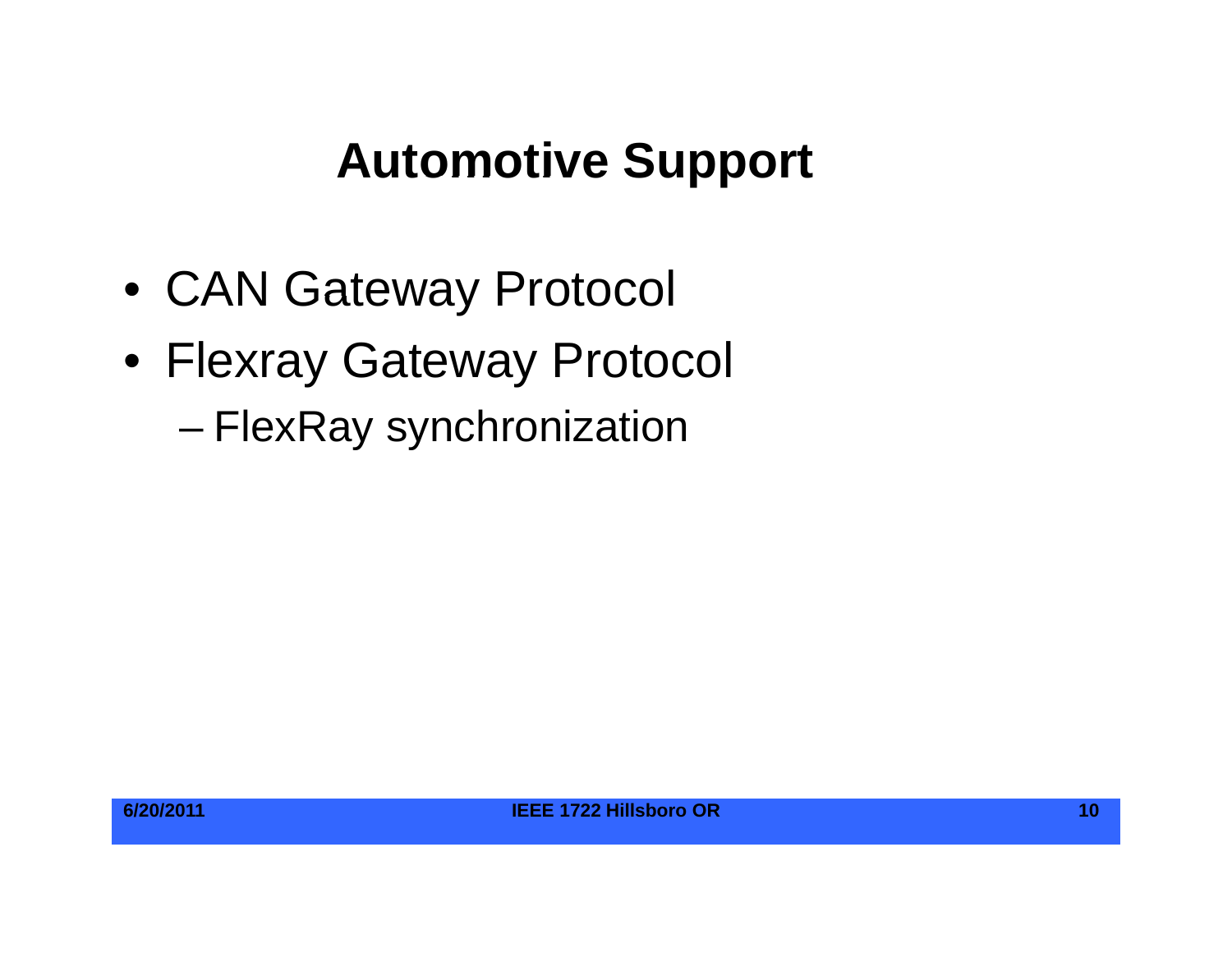#### **Automotive Support**

- CAN Gateway Protocol
- Flexray Gateway Protocol
	- FlexRay synchronization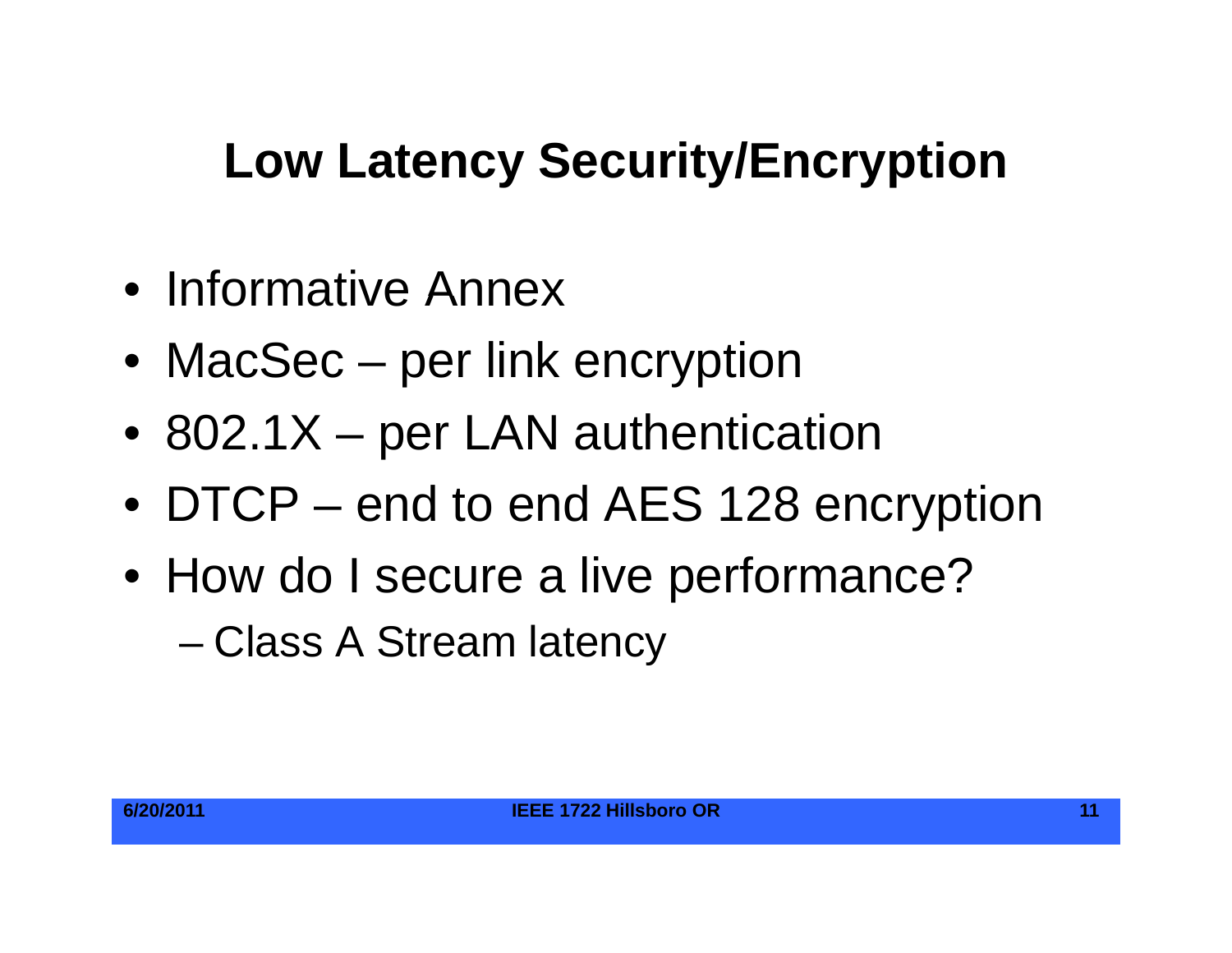# **Low Latency Security/Encryption**

- Informative Annex
- MacSec per link encryption
- 802.1X per LAN authentication
- DTCP end to end AES 128 encryption
- How do I secure a live performance?

–Class A Stream latency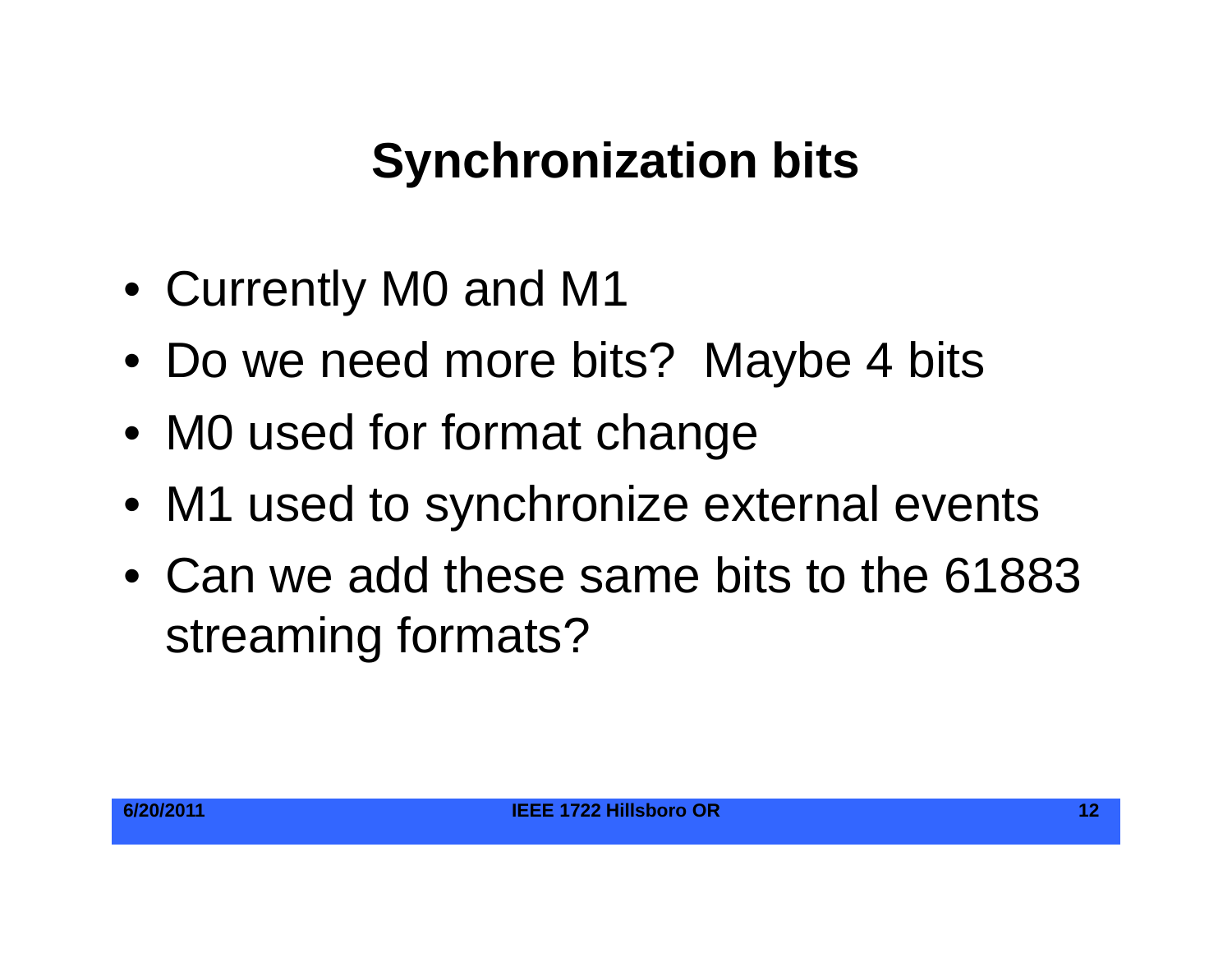## **Synchronization bits**

- Currently M0 and M1
- Do we need more bits? Maybe 4 bits
- M0 used for format change
- M1 used to synchronize external events
- Can we add these same bits to the 61883 streamin g formats?